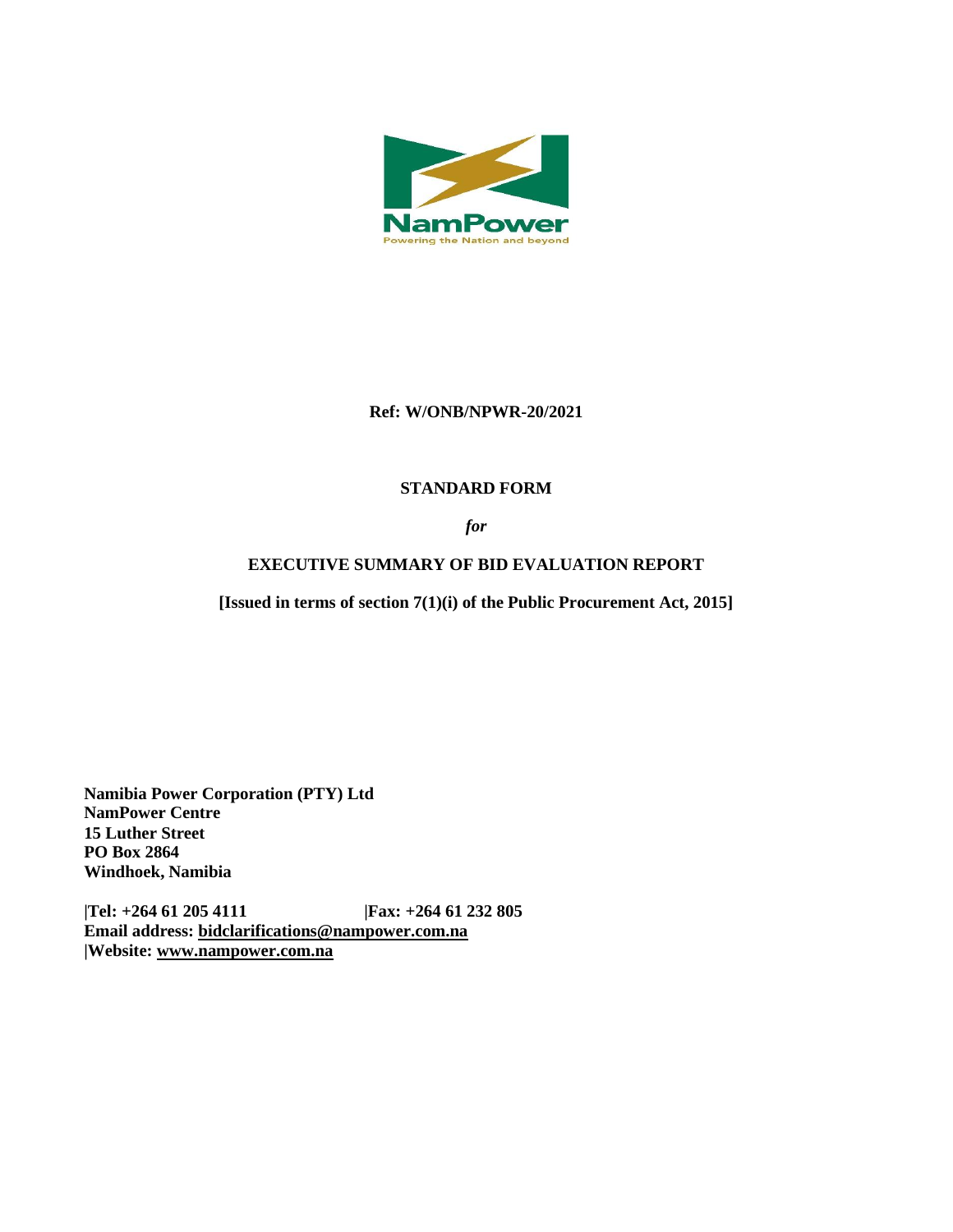

### **Ref: W/ONB/NPWR-20/2021**

# **STANDARD FORM**

*for*

# **EXECUTIVE SUMMARY OF BID EVALUATION REPORT**

**[Issued in terms of section 7(1)(i) of the Public Procurement Act, 2015]** 

**Namibia Power Corporation (PTY) Ltd NamPower Centre 15 Luther Street PO Box 2864 Windhoek, Namibia**

**|Tel: +264 61 205 4111 |Fax: +264 61 232 805 Email address: [bidclarifications@nampower.com.na](mailto:bidclarifications@nampower.com.na) |Website: [www.n](http://www./)ampower.com.na**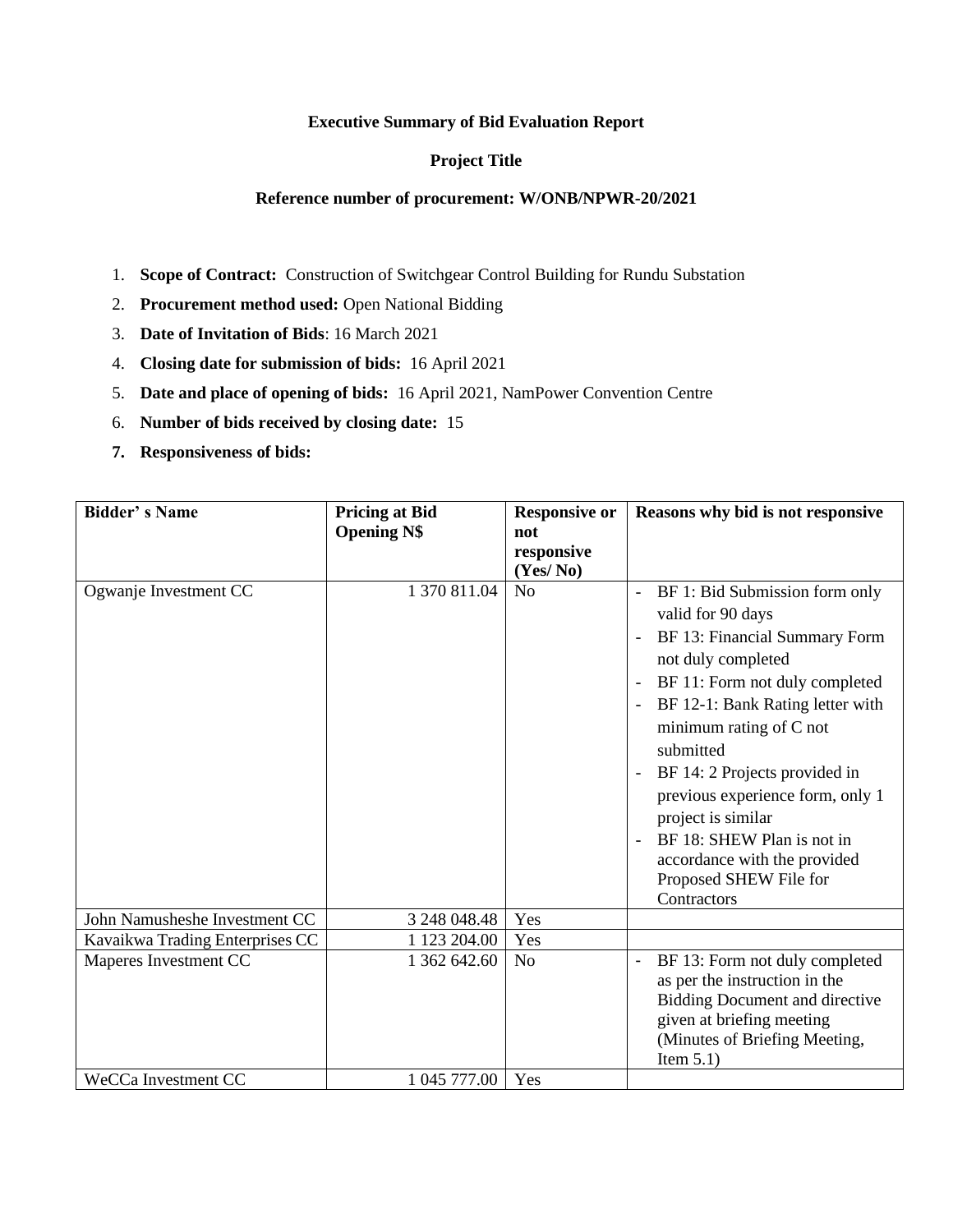#### **Executive Summary of Bid Evaluation Report**

### **Project Title**

#### **Reference number of procurement: W/ONB/NPWR-20/2021**

- 1. **Scope of Contract:** Construction of Switchgear Control Building for Rundu Substation
- 2. **Procurement method used:** Open National Bidding
- 3. **Date of Invitation of Bids**: 16 March 2021
- 4. **Closing date for submission of bids:** 16 April 2021
- 5. **Date and place of opening of bids:** 16 April 2021, NamPower Convention Centre
- 6. **Number of bids received by closing date:** 15
- **7. Responsiveness of bids:**

| <b>Bidder's Name</b>            | <b>Pricing at Bid</b><br><b>Opening N\$</b> | <b>Responsive or</b><br>not | Reasons why bid is not responsive                                                                                                                                                                                                                                                                                                                                                                                                                      |
|---------------------------------|---------------------------------------------|-----------------------------|--------------------------------------------------------------------------------------------------------------------------------------------------------------------------------------------------------------------------------------------------------------------------------------------------------------------------------------------------------------------------------------------------------------------------------------------------------|
|                                 |                                             | responsive<br>(Yes/No)      |                                                                                                                                                                                                                                                                                                                                                                                                                                                        |
| Ogwanje Investment CC           | 1 370 811.04                                | N <sub>0</sub>              | BF 1: Bid Submission form only<br>valid for 90 days<br>BF 13: Financial Summary Form<br>not duly completed<br>BF 11: Form not duly completed<br>$\overline{\phantom{a}}$<br>BF 12-1: Bank Rating letter with<br>minimum rating of C not<br>submitted<br>BF 14: 2 Projects provided in<br>previous experience form, only 1<br>project is similar<br>BF 18: SHEW Plan is not in<br>accordance with the provided<br>Proposed SHEW File for<br>Contractors |
| John Namusheshe Investment CC   | 3 248 048.48                                | Yes                         |                                                                                                                                                                                                                                                                                                                                                                                                                                                        |
| Kavaikwa Trading Enterprises CC | 1 123 204.00                                | Yes                         |                                                                                                                                                                                                                                                                                                                                                                                                                                                        |
| Maperes Investment CC           | 1 362 642.60                                | N <sub>o</sub>              | BF 13: Form not duly completed<br>as per the instruction in the<br><b>Bidding Document and directive</b><br>given at briefing meeting<br>(Minutes of Briefing Meeting,<br>Item $5.1$ )                                                                                                                                                                                                                                                                 |
| WeCCa Investment CC             | 1 045 777.00                                | Yes                         |                                                                                                                                                                                                                                                                                                                                                                                                                                                        |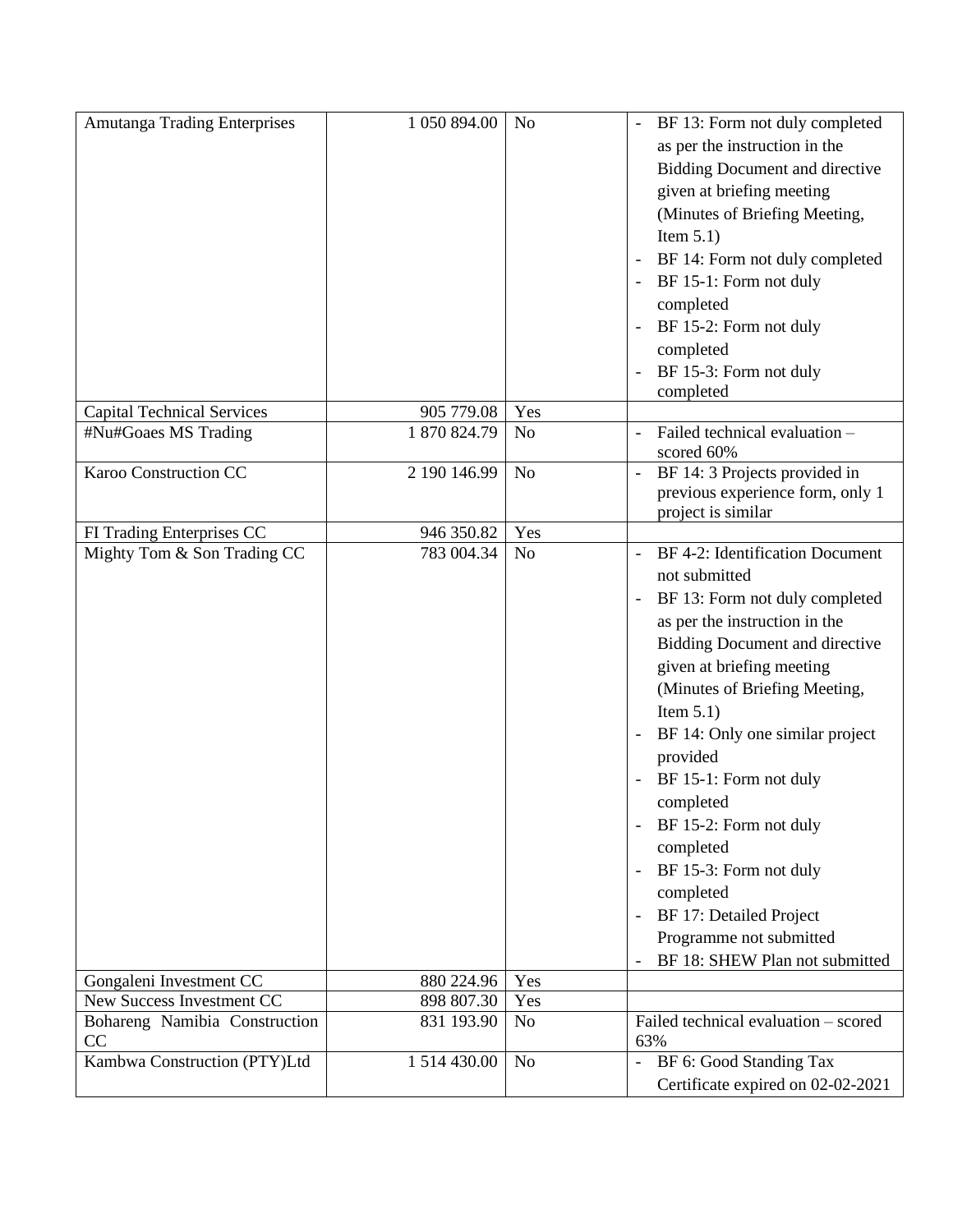| Amutanga Trading Enterprises        | 1 050 894.00 | N <sub>o</sub> | BF 13: Form not duly completed<br>as per the instruction in the<br><b>Bidding Document and directive</b><br>given at briefing meeting<br>(Minutes of Briefing Meeting,<br>Item $5.1$ )<br>BF 14: Form not duly completed<br>BF 15-1: Form not duly<br>completed<br>BF 15-2: Form not duly<br>completed                                                                                                                                                                                                 |
|-------------------------------------|--------------|----------------|--------------------------------------------------------------------------------------------------------------------------------------------------------------------------------------------------------------------------------------------------------------------------------------------------------------------------------------------------------------------------------------------------------------------------------------------------------------------------------------------------------|
|                                     |              |                | BF 15-3: Form not duly                                                                                                                                                                                                                                                                                                                                                                                                                                                                                 |
|                                     |              |                | completed                                                                                                                                                                                                                                                                                                                                                                                                                                                                                              |
| <b>Capital Technical Services</b>   | 905 779.08   | Yes            |                                                                                                                                                                                                                                                                                                                                                                                                                                                                                                        |
| #Nu#Goaes MS Trading                | 1870824.79   | N <sub>o</sub> | Failed technical evaluation -<br>scored 60%                                                                                                                                                                                                                                                                                                                                                                                                                                                            |
| Karoo Construction CC               | 2 190 146.99 | N <sub>o</sub> | BF 14: 3 Projects provided in<br>previous experience form, only 1<br>project is similar                                                                                                                                                                                                                                                                                                                                                                                                                |
| FI Trading Enterprises CC           | 946 350.82   | Yes            |                                                                                                                                                                                                                                                                                                                                                                                                                                                                                                        |
| Mighty Tom & Son Trading CC         | 783 004.34   | N <sub>o</sub> | BF 4-2: Identification Document<br>not submitted<br>BF 13: Form not duly completed<br>as per the instruction in the<br><b>Bidding Document and directive</b><br>given at briefing meeting<br>(Minutes of Briefing Meeting,<br>Item $5.1$ )<br>BF 14: Only one similar project<br>provided<br>BF 15-1: Form not duly<br>completed<br>BF 15-2: Form not duly<br>completed<br>BF 15-3: Form not duly<br>completed<br>BF 17: Detailed Project<br>Programme not submitted<br>BF 18: SHEW Plan not submitted |
| Gongaleni Investment CC             | 880 224.96   | Yes            |                                                                                                                                                                                                                                                                                                                                                                                                                                                                                                        |
| New Success Investment CC           | 898 807.30   | Yes            |                                                                                                                                                                                                                                                                                                                                                                                                                                                                                                        |
| Bohareng Namibia Construction<br>CC | 831 193.90   | N <sub>o</sub> | Failed technical evaluation - scored<br>63%                                                                                                                                                                                                                                                                                                                                                                                                                                                            |
| Kambwa Construction (PTY)Ltd        | 1 514 430.00 | N <sub>o</sub> | BF 6: Good Standing Tax<br>$\overline{\phantom{a}}$<br>Certificate expired on 02-02-2021                                                                                                                                                                                                                                                                                                                                                                                                               |